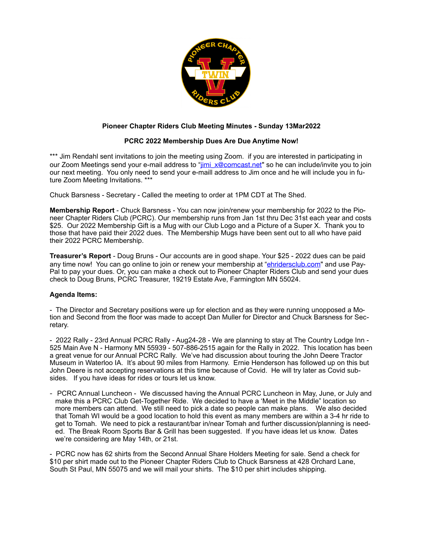

## **Pioneer Chapter Riders Club Meeting Minutes - Sunday 13Mar2022**

## **PCRC 2022 Membership Dues Are Due Anytime Now!**

\*\*\* Jim Rendahl sent invitations to join the meeting using Zoom. If you are interested in participating in our Zoom Meetings send your e-mail address to "[jimi\\_x@comcast.net](mailto:jimi_x@comcast.net)" so he can include/invite you to join our next meeting. You only need to send your e-maill address to Jim once and he will include you in future Zoom Meeting Invitations. \*\*\*

Chuck Barsness - Secretary - Called the meeting to order at 1PM CDT at The Shed.

**Membership Report** - Chuck Barsness - You can now join/renew your membership for 2022 to the Pioneer Chapter Riders Club (PCRC). Our membership runs from Jan 1st thru Dec 31st each year and costs \$25. Our 2022 Membership Gift is a Mug with our Club Logo and a Picture of a Super X. Thank you to those that have paid their 2022 dues. The Membership Mugs have been sent out to all who have paid their 2022 PCRC Membership.

**Treasurer's Report** - Doug Bruns - Our accounts are in good shape. Your \$25 - 2022 dues can be paid any time now! You can go online to join or renew your membership at "[ehridersclub.com](http://ehridersclub.com)" and use Pay-Pal to pay your dues. Or, you can make a check out to Pioneer Chapter Riders Club and send your dues check to Doug Bruns, PCRC Treasurer, 19219 Estate Ave, Farmington MN 55024.

## **Agenda Items:**

- The Director and Secretary positions were up for election and as they were running unopposed a Motion and Second from the floor was made to accept Dan Muller for Director and Chuck Barsness for Secretary.

- 2022 Rally - 23rd Annual PCRC Rally - Aug24-28 - We are planning to stay at The Country Lodge Inn - 525 Main Ave N - Harmony MN 55939 - 507-886-2515 again for the Rally in 2022. This location has been a great venue for our Annual PCRC Rally. We've had discussion about touring the John Deere Tractor Museum in Waterloo IA. It's about 90 miles from Harmony. Ernie Henderson has followed up on this but John Deere is not accepting reservations at this time because of Covid. He will try later as Covid subsides. If you have ideas for rides or tours let us know.

- PCRC Annual Luncheon - We discussed having the Annual PCRC Luncheon in May, June, or July and make this a PCRC Club Get-Together Ride. We decided to have a 'Meet in the Middle" location so more members can attend. We still need to pick a date so people can make plans. We also decided that Tomah WI would be a good location to hold this event as many members are within a 3-4 hr ride to get to Tomah. We need to pick a restaurant/bar in/near Tomah and further discussion/planning is needed. The Break Room Sports Bar & Grill has been suggested. If you have ideas let us know. Dates we're considering are May 14th, or 21st.

- PCRC now has 62 shirts from the Second Annual Share Holders Meeting for sale. Send a check for \$10 per shirt made out to the Pioneer Chapter Riders Club to Chuck Barsness at 428 Orchard Lane, South St Paul, MN 55075 and we will mail your shirts. The \$10 per shirt includes shipping.